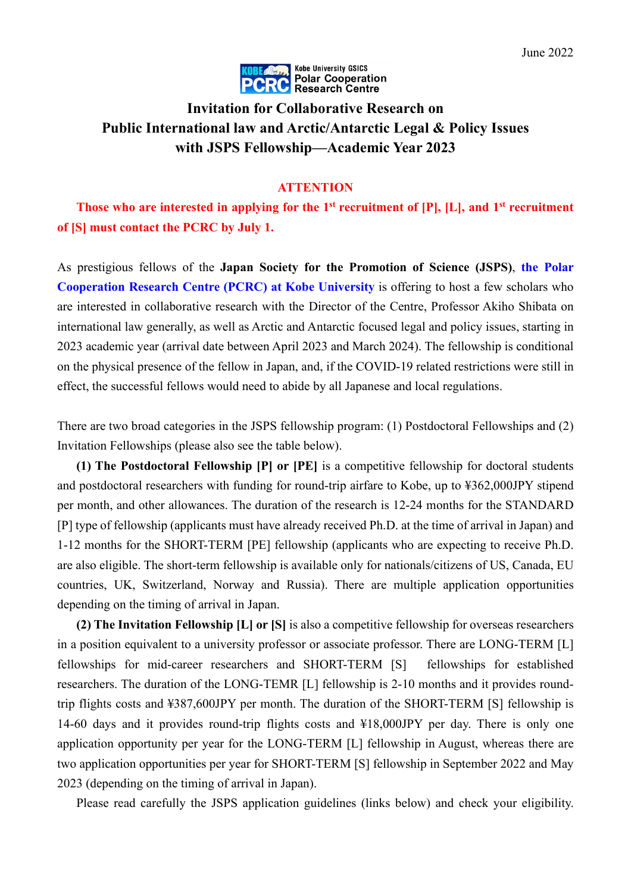

## **Invitation for Collaborative Research on Public International law and Arctic/Antarctic Legal & Policy Issues with JSPS Fellowship—Academic Year 2023**

## **ATTENTION**

**Those who are interested in applying for the 1st recruitment of [P], [L], and 1st recruitment of [S] must contact the PCRC by July 1.**

As prestigious fellows of the **Japan Society for the Promotion of Science (JSPS)**, **the Polar Cooperation Research Centre (PCRC) at Kobe University** is offering to host a few scholars who are interested in collaborative research with the Director of the Centre, Professor Akiho Shibata on international law generally, as well as Arctic and Antarctic focused legal and policy issues, starting in 2023 academic year (arrival date between April 2023 and March 2024). The fellowship is conditional on the physical presence of the fellow in Japan, and, if the COVID-19 related restrictions were still in effect, the successful fellows would need to abide by all Japanese and local regulations.

There are two broad categories in the JSPS fellowship program: (1) Postdoctoral Fellowships and (2) Invitation Fellowships (please also see the table below).

 **(1) The Postdoctoral Fellowship [P] or [PE]** is a competitive fellowship for doctoral students and postdoctoral researchers with funding for round-trip airfare to Kobe, up to ¥362,000JPY stipend per month, and other allowances. The duration of the research is 12-24 months for the STANDARD [P] type of fellowship (applicants must have already received Ph.D. at the time of arrival in Japan) and 1-12 months for the SHORT-TERM [PE] fellowship (applicants who are expecting to receive Ph.D. are also eligible. The short-term fellowship is available only for nationals/citizens of US, Canada, EU countries, UK, Switzerland, Norway and Russia). There are multiple application opportunities depending on the timing of arrival in Japan.

**(2) The Invitation Fellowship [L] or [S]** is also a competitive fellowship for overseas researchers in a position equivalent to a university professor or associate professor. There are LONG-TERM [L] fellowships for mid-career researchers and SHORT-TERM [S] fellowships for established researchers. The duration of the LONG-TEMR [L] fellowship is 2-10 months and it provides roundtrip flights costs and ¥387,600JPY per month. The duration of the SHORT-TERM [S] fellowship is 14-60 days and it provides round-trip flights costs and ¥18,000JPY per day. There is only one application opportunity per year for the LONG-TERM [L] fellowship in August, whereas there are two application opportunities per year for SHORT-TERM [S] fellowship in September 2022 and May 2023 (depending on the timing of arrival in Japan).

Please read carefully the JSPS application guidelines (links below) and check your eligibility.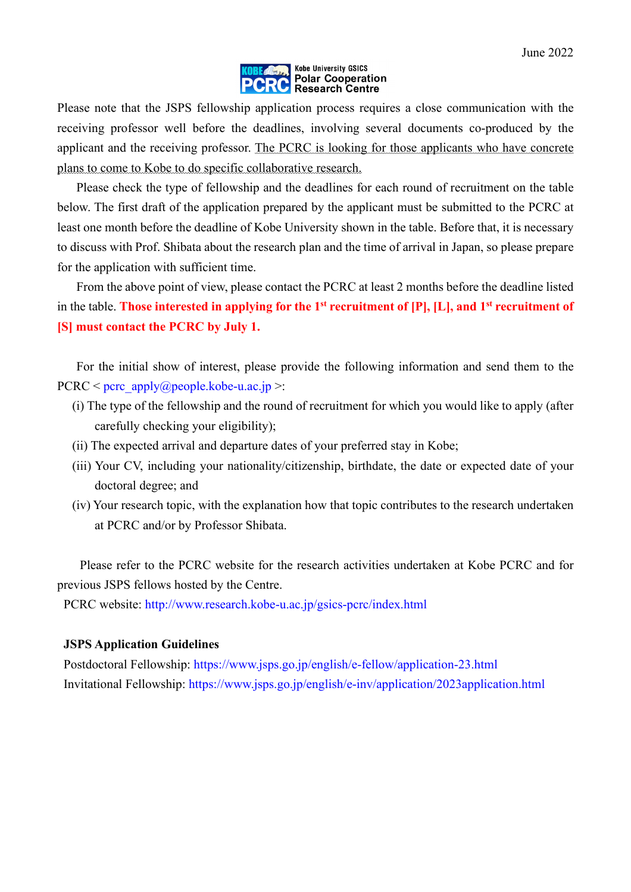

Please note that the JSPS fellowship application process requires a close communication with the receiving professor well before the deadlines, involving several documents co-produced by the applicant and the receiving professor. The PCRC is looking for those applicants who have concrete plans to come to Kobe to do specific collaborative research.

Please check the type of fellowship and the deadlines for each round of recruitment on the table below. The first draft of the application prepared by the applicant must be submitted to the PCRC at least one month before the deadline of Kobe University shown in the table. Before that, it is necessary to discuss with Prof. Shibata about the research plan and the time of arrival in Japan, so please prepare for the application with sufficient time.

From the above point of view, please contact the PCRC at least 2 months before the deadline listed in the table. **Those interested in applying for the 1st recruitment of [P], [L], and 1st recruitment of [S] must contact the PCRC by July 1.**

For the initial show of interest, please provide the following information and send them to the  $PCRC <$  [pcrc\\_apply@people.kobe-u.ac.jp](mailto:pcrc_apply@people.kobe-u.ac.jp) >:

- (i) The type of the fellowship and the round of recruitment for which you would like to apply (after carefully checking your eligibility);
- (ii) The expected arrival and departure dates of your preferred stay in Kobe;
- (iii) Your CV, including your nationality/citizenship, birthdate, the date or expected date of your doctoral degree; and
- (iv) Your research topic, with the explanation how that topic contributes to the research undertaken at PCRC and/or by Professor Shibata.

Please refer to the PCRC website for the research activities undertaken at Kobe PCRC and for previous JSPS fellows hosted by the Centre.

PCRC website:<http://www.research.kobe-u.ac.jp/gsics-pcrc/index.html>

## **JSPS Application Guidelines**

Postdoctoral Fellowship:<https://www.jsps.go.jp/english/e-fellow/application-23.html> Invitational Fellowship:<https://www.jsps.go.jp/english/e-inv/application/2023application.html>